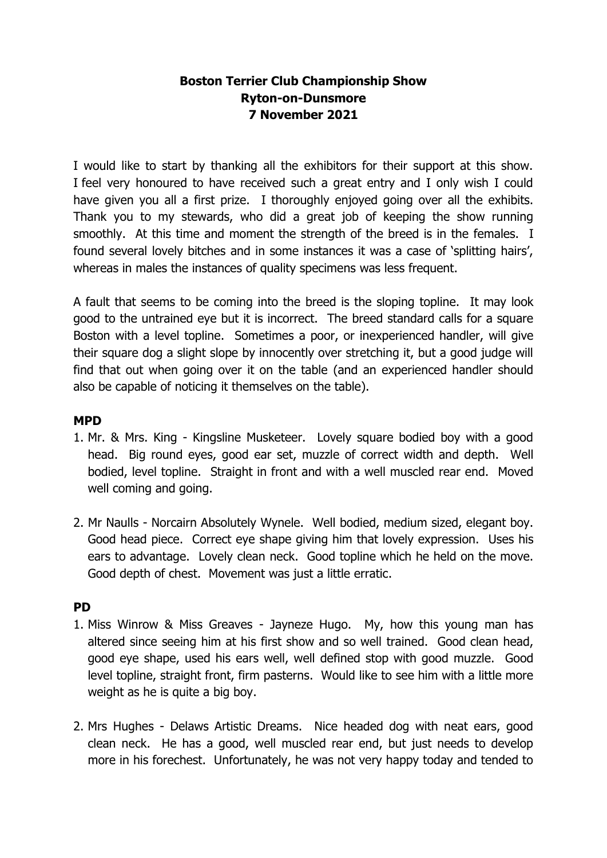### **Boston Terrier Club Championship Show Ryton-on-Dunsmore 7 November 2021**

I would like to start by thanking all the exhibitors for their support at this show. I feel very honoured to have received such a great entry and I only wish I could have given you all a first prize. I thoroughly enjoyed going over all the exhibits. Thank you to my stewards, who did a great job of keeping the show running smoothly. At this time and moment the strength of the breed is in the females. I found several lovely bitches and in some instances it was a case of 'splitting hairs', whereas in males the instances of quality specimens was less frequent.

A fault that seems to be coming into the breed is the sloping topline. It may look good to the untrained eye but it is incorrect. The breed standard calls for a square Boston with a level topline. Sometimes a poor, or inexperienced handler, will give their square dog a slight slope by innocently over stretching it, but a good judge will find that out when going over it on the table (and an experienced handler should also be capable of noticing it themselves on the table).

### **MPD**

- 1. Mr. & Mrs. King Kingsline Musketeer. Lovely square bodied boy with a good head. Big round eyes, good ear set, muzzle of correct width and depth. Well bodied, level topline. Straight in front and with a well muscled rear end. Moved well coming and going.
- 2. Mr Naulls Norcairn Absolutely Wynele. Well bodied, medium sized, elegant boy. Good head piece. Correct eye shape giving him that lovely expression. Uses his ears to advantage. Lovely clean neck. Good topline which he held on the move. Good depth of chest. Movement was just a little erratic.

#### **PD**

- 1. Miss Winrow & Miss Greaves Jayneze Hugo. My, how this young man has altered since seeing him at his first show and so well trained. Good clean head, good eye shape, used his ears well, well defined stop with good muzzle. Good level topline, straight front, firm pasterns. Would like to see him with a little more weight as he is quite a big boy.
- 2. Mrs Hughes Delaws Artistic Dreams. Nice headed dog with neat ears, good clean neck. He has a good, well muscled rear end, but just needs to develop more in his forechest. Unfortunately, he was not very happy today and tended to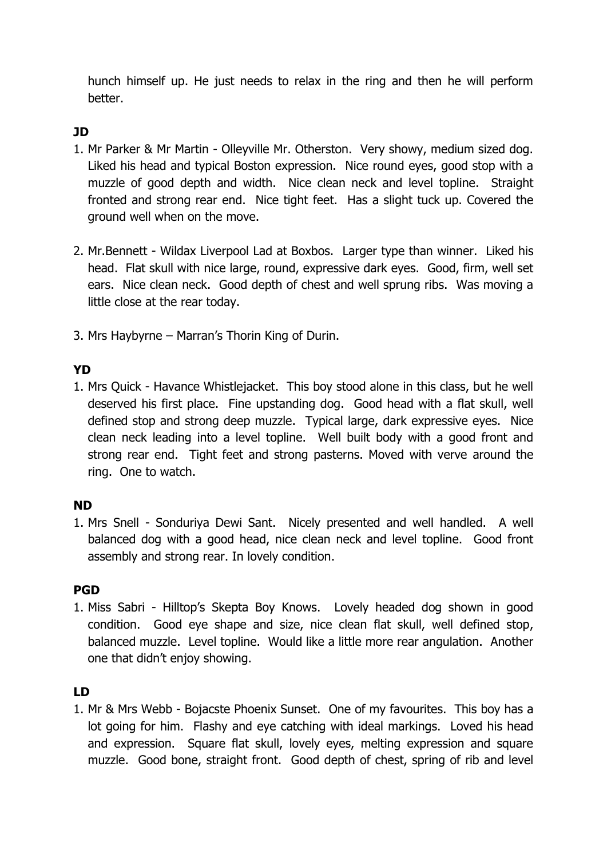hunch himself up. He just needs to relax in the ring and then he will perform better.

# **JD**

- 1. Mr Parker & Mr Martin Olleyville Mr. Otherston. Very showy, medium sized dog. Liked his head and typical Boston expression. Nice round eyes, good stop with a muzzle of good depth and width. Nice clean neck and level topline. Straight fronted and strong rear end. Nice tight feet. Has a slight tuck up. Covered the ground well when on the move.
- 2. Mr.Bennett Wildax Liverpool Lad at Boxbos. Larger type than winner. Liked his head. Flat skull with nice large, round, expressive dark eyes. Good, firm, well set ears. Nice clean neck. Good depth of chest and well sprung ribs. Was moving a little close at the rear today.
- 3. Mrs Haybyrne Marran's Thorin King of Durin.

### **YD**

1. Mrs Quick - Havance Whistlejacket. This boy stood alone in this class, but he well deserved his first place. Fine upstanding dog. Good head with a flat skull, well defined stop and strong deep muzzle. Typical large, dark expressive eyes. Nice clean neck leading into a level topline. Well built body with a good front and strong rear end. Tight feet and strong pasterns. Moved with verve around the ring. One to watch.

# **ND**

1. Mrs Snell - Sonduriya Dewi Sant. Nicely presented and well handled. A well balanced dog with a good head, nice clean neck and level topline. Good front assembly and strong rear. In lovely condition.

# **PGD**

1. Miss Sabri - Hilltop's Skepta Boy Knows. Lovely headed dog shown in good condition. Good eye shape and size, nice clean flat skull, well defined stop, balanced muzzle. Level topline. Would like a little more rear angulation. Another one that didn't enjoy showing.

# **LD**

1. Mr & Mrs Webb - Bojacste Phoenix Sunset. One of my favourites. This boy has a lot going for him. Flashy and eye catching with ideal markings. Loved his head and expression. Square flat skull, lovely eyes, melting expression and square muzzle. Good bone, straight front. Good depth of chest, spring of rib and level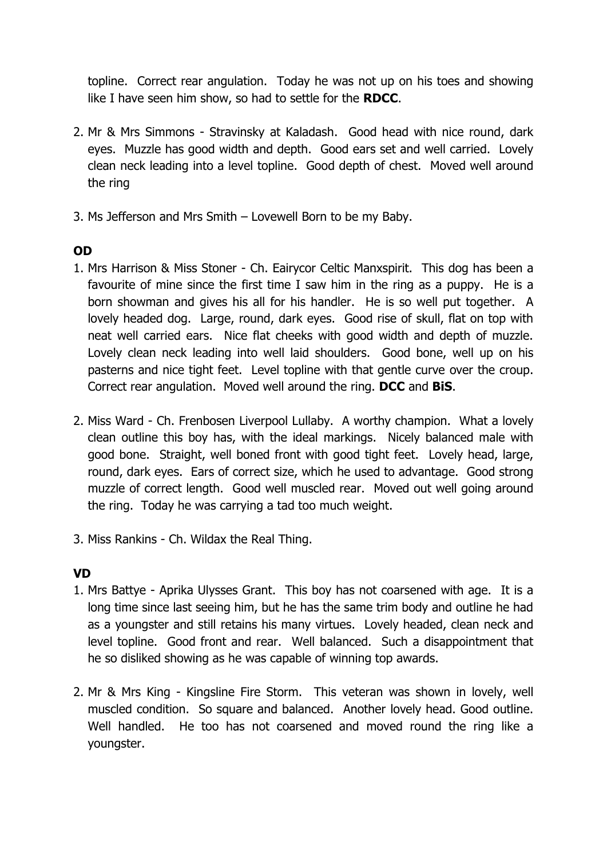topline. Correct rear angulation. Today he was not up on his toes and showing like I have seen him show, so had to settle for the **RDCC**.

- 2. Mr & Mrs Simmons Stravinsky at Kaladash. Good head with nice round, dark eyes. Muzzle has good width and depth. Good ears set and well carried. Lovely clean neck leading into a level topline. Good depth of chest. Moved well around the ring
- 3. Ms Jefferson and Mrs Smith Lovewell Born to be my Baby.

# **OD**

- 1. Mrs Harrison & Miss Stoner Ch. Eairycor Celtic Manxspirit. This dog has been a favourite of mine since the first time I saw him in the ring as a puppy. He is a born showman and gives his all for his handler. He is so well put together. A lovely headed dog. Large, round, dark eyes. Good rise of skull, flat on top with neat well carried ears. Nice flat cheeks with good width and depth of muzzle. Lovely clean neck leading into well laid shoulders. Good bone, well up on his pasterns and nice tight feet. Level topline with that gentle curve over the croup. Correct rear angulation. Moved well around the ring. **DCC** and **BiS**.
- 2. Miss Ward Ch. Frenbosen Liverpool Lullaby. A worthy champion. What a lovely clean outline this boy has, with the ideal markings. Nicely balanced male with good bone. Straight, well boned front with good tight feet. Lovely head, large, round, dark eyes. Ears of correct size, which he used to advantage. Good strong muzzle of correct length. Good well muscled rear. Moved out well going around the ring. Today he was carrying a tad too much weight.
- 3. Miss Rankins Ch. Wildax the Real Thing.

# **VD**

- 1. Mrs Battye Aprika Ulysses Grant. This boy has not coarsened with age. It is a long time since last seeing him, but he has the same trim body and outline he had as a youngster and still retains his many virtues. Lovely headed, clean neck and level topline. Good front and rear. Well balanced. Such a disappointment that he so disliked showing as he was capable of winning top awards.
- 2. Mr & Mrs King Kingsline Fire Storm. This veteran was shown in lovely, well muscled condition. So square and balanced. Another lovely head. Good outline. Well handled. He too has not coarsened and moved round the ring like a youngster.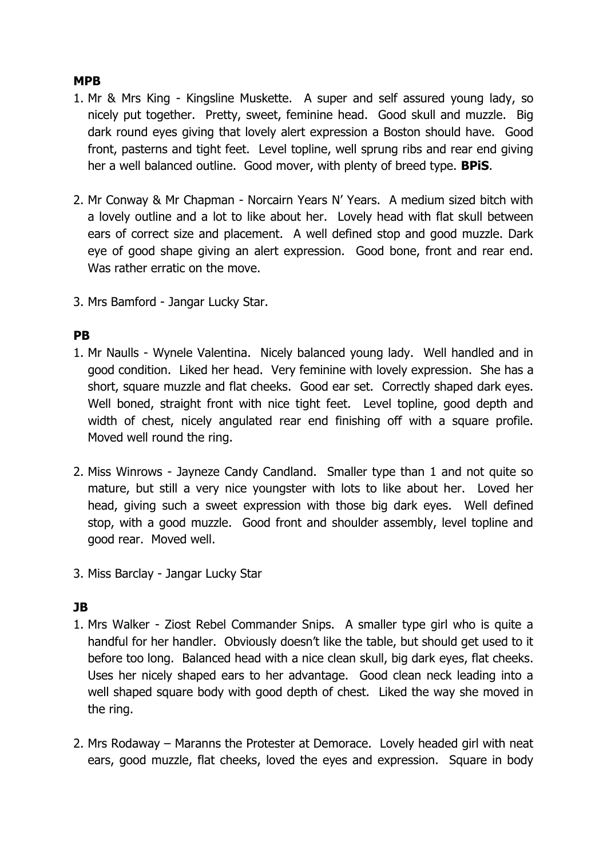#### **MPB**

- 1. Mr & Mrs King Kingsline Muskette. A super and self assured young lady, so nicely put together. Pretty, sweet, feminine head. Good skull and muzzle. Big dark round eyes giving that lovely alert expression a Boston should have. Good front, pasterns and tight feet. Level topline, well sprung ribs and rear end giving her a well balanced outline. Good mover, with plenty of breed type. **BPiS**.
- 2. Mr Conway & Mr Chapman Norcairn Years N' Years. A medium sized bitch with a lovely outline and a lot to like about her. Lovely head with flat skull between ears of correct size and placement. A well defined stop and good muzzle. Dark eye of good shape giving an alert expression. Good bone, front and rear end. Was rather erratic on the move.
- 3. Mrs Bamford Jangar Lucky Star.

### **PB**

- 1. Mr Naulls Wynele Valentina. Nicely balanced young lady. Well handled and in good condition. Liked her head. Very feminine with lovely expression. She has a short, square muzzle and flat cheeks. Good ear set. Correctly shaped dark eyes. Well boned, straight front with nice tight feet. Level topline, good depth and width of chest, nicely angulated rear end finishing off with a square profile. Moved well round the ring.
- 2. Miss Winrows Jayneze Candy Candland. Smaller type than 1 and not quite so mature, but still a very nice youngster with lots to like about her. Loved her head, giving such a sweet expression with those big dark eyes. Well defined stop, with a good muzzle. Good front and shoulder assembly, level topline and good rear. Moved well.
- 3. Miss Barclay Jangar Lucky Star

# **JB**

- 1. Mrs Walker Ziost Rebel Commander Snips. A smaller type girl who is quite a handful for her handler. Obviously doesn't like the table, but should get used to it before too long. Balanced head with a nice clean skull, big dark eyes, flat cheeks. Uses her nicely shaped ears to her advantage. Good clean neck leading into a well shaped square body with good depth of chest. Liked the way she moved in the ring.
- 2. Mrs Rodaway Maranns the Protester at Demorace. Lovely headed girl with neat ears, good muzzle, flat cheeks, loved the eyes and expression. Square in body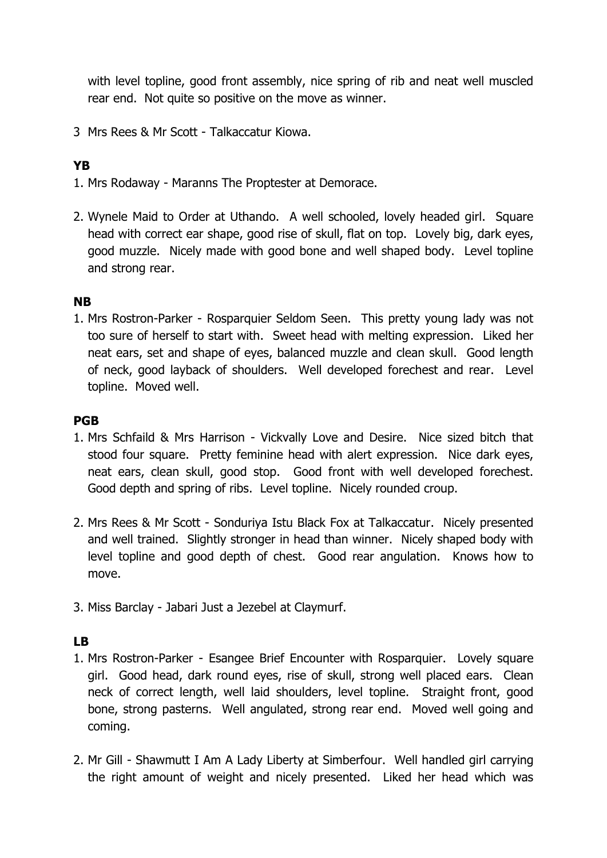with level topline, good front assembly, nice spring of rib and neat well muscled rear end. Not quite so positive on the move as winner.

3 Mrs Rees & Mr Scott - Talkaccatur Kiowa.

### **YB**

- 1. Mrs Rodaway Maranns The Proptester at Demorace.
- 2. Wynele Maid to Order at Uthando. A well schooled, lovely headed girl. Square head with correct ear shape, good rise of skull, flat on top. Lovely big, dark eyes, good muzzle. Nicely made with good bone and well shaped body. Level topline and strong rear.

#### **NB**

1. Mrs Rostron-Parker - Rosparquier Seldom Seen. This pretty young lady was not too sure of herself to start with. Sweet head with melting expression. Liked her neat ears, set and shape of eyes, balanced muzzle and clean skull. Good length of neck, good layback of shoulders. Well developed forechest and rear. Level topline. Moved well.

### **PGB**

- 1. Mrs Schfaild & Mrs Harrison Vickvally Love and Desire. Nice sized bitch that stood four square. Pretty feminine head with alert expression. Nice dark eyes, neat ears, clean skull, good stop. Good front with well developed forechest. Good depth and spring of ribs. Level topline. Nicely rounded croup.
- 2. Mrs Rees & Mr Scott Sonduriya Istu Black Fox at Talkaccatur. Nicely presented and well trained. Slightly stronger in head than winner. Nicely shaped body with level topline and good depth of chest. Good rear angulation. Knows how to move.
- 3. Miss Barclay Jabari Just a Jezebel at Claymurf.

# **LB**

- 1. Mrs Rostron-Parker Esangee Brief Encounter with Rosparquier. Lovely square girl. Good head, dark round eyes, rise of skull, strong well placed ears. Clean neck of correct length, well laid shoulders, level topline. Straight front, good bone, strong pasterns. Well angulated, strong rear end. Moved well going and coming.
- 2. Mr Gill Shawmutt I Am A Lady Liberty at Simberfour. Well handled girl carrying the right amount of weight and nicely presented. Liked her head which was